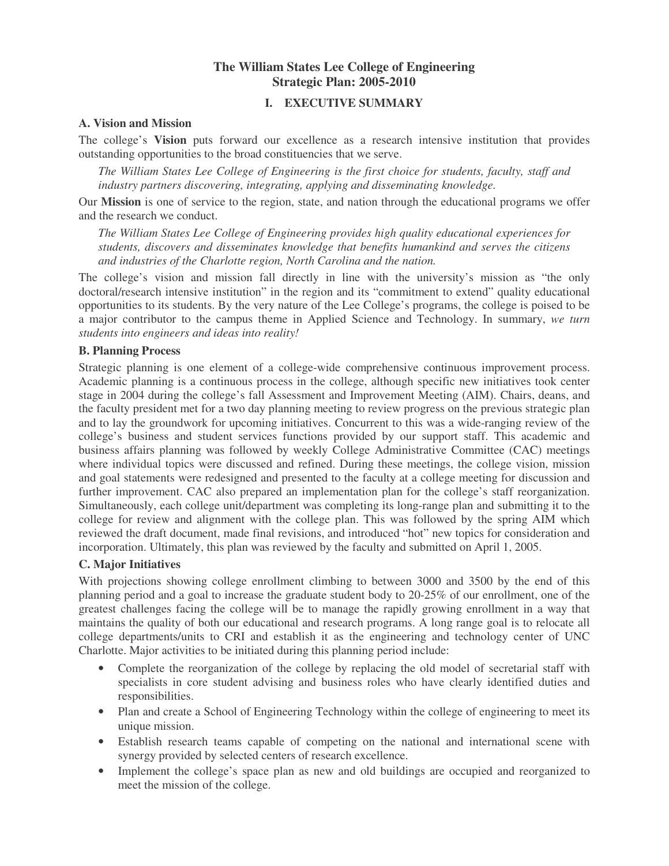## **The William States Lee College of Engineering Strategic Plan: 2005-2010**

#### **I. EXECUTIVE SUMMARY**

#### **A. Vision and Mission**

The college's **Vision** puts forward our excellence as a research intensive institution that provides outstanding opportunities to the broad constituencies that we serve.

*The William States Lee College of Engineering is the first choice for students, faculty, staff and industry partners discovering, integrating, applying and disseminating knowledge.*

Our **Mission** is one of service to the region, state, and nation through the educational programs we offer and the research we conduct.

*The William States Lee College of Engineering provides high quality educational experiences for students, discovers and disseminates knowledge that benefits humankind and serves the citizens and industries of the Charlotte region, North Carolina and the nation.*

The college's vision and mission fall directly in line with the university's mission as "the only doctoral/research intensive institution" in the region and its "commitment to extend" quality educational opportunities to its students. By the very nature of the Lee College's programs, the college is poised to be a major contributor to the campus theme in Applied Science and Technology. In summary, *we turn students into engineers and ideas into reality!*

#### **B. Planning Process**

Strategic planning is one element of a college-wide comprehensive continuous improvement process. Academic planning is a continuous process in the college, although specific new initiatives took center stage in 2004 during the college's fall Assessment and Improvement Meeting (AIM). Chairs, deans, and the faculty president met for a two day planning meeting to review progress on the previous strategic plan and to lay the groundwork for upcoming initiatives. Concurrent to this was a wide-ranging review of the college's business and student services functions provided by our support staff. This academic and business affairs planning was followed by weekly College Administrative Committee (CAC) meetings where individual topics were discussed and refined. During these meetings, the college vision, mission and goal statements were redesigned and presented to the faculty at a college meeting for discussion and further improvement. CAC also prepared an implementation plan for the college's staff reorganization. Simultaneously, each college unit/department was completing its long-range plan and submitting it to the college for review and alignment with the college plan. This was followed by the spring AIM which reviewed the draft document, made final revisions, and introduced "hot" new topics for consideration and incorporation. Ultimately, this plan was reviewed by the faculty and submitted on April 1, 2005.

#### **C. Major Initiatives**

With projections showing college enrollment climbing to between 3000 and 3500 by the end of this planning period and a goal to increase the graduate student body to 20-25% of our enrollment, one of the greatest challenges facing the college will be to manage the rapidly growing enrollment in a way that maintains the quality of both our educational and research programs. A long range goal is to relocate all college departments/units to CRI and establish it as the engineering and technology center of UNC Charlotte. Major activities to be initiated during this planning period include:

- Complete the reorganization of the college by replacing the old model of secretarial staff with specialists in core student advising and business roles who have clearly identified duties and responsibilities.
- Plan and create a School of Engineering Technology within the college of engineering to meet its unique mission.
- Establish research teams capable of competing on the national and international scene with synergy provided by selected centers of research excellence.
- Implement the college's space plan as new and old buildings are occupied and reorganized to meet the mission of the college.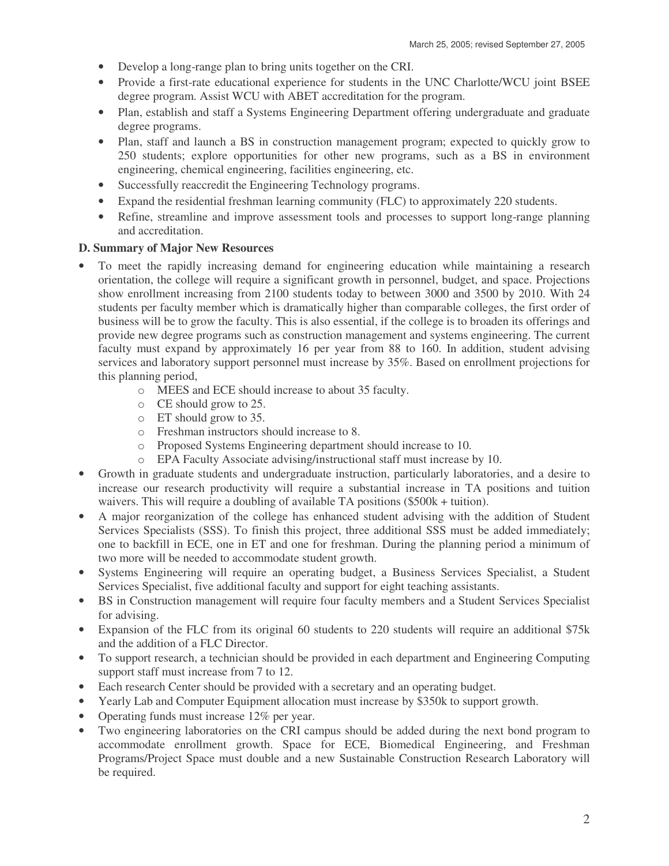- Develop a long-range plan to bring units together on the CRI.
- Provide a first-rate educational experience for students in the UNC Charlotte/WCU joint BSEE degree program. Assist WCU with ABET accreditation for the program.
- Plan, establish and staff a Systems Engineering Department offering undergraduate and graduate degree programs.
- Plan, staff and launch a BS in construction management program; expected to quickly grow to 250 students; explore opportunities for other new programs, such as a BS in environment engineering, chemical engineering, facilities engineering, etc.
- Successfully reaccredit the Engineering Technology programs.
- Expand the residential freshman learning community (FLC) to approximately 220 students.
- Refine, streamline and improve assessment tools and processes to support long-range planning and accreditation.

## **D. Summary of Major New Resources**

- To meet the rapidly increasing demand for engineering education while maintaining a research orientation, the college will require a significant growth in personnel, budget, and space. Projections show enrollment increasing from 2100 students today to between 3000 and 3500 by 2010. With 24 students per faculty member which is dramatically higher than comparable colleges, the first order of business will be to grow the faculty. This is also essential, if the college is to broaden its offerings and provide new degree programs such as construction management and systems engineering. The current faculty must expand by approximately 16 per year from 88 to 160. In addition, student advising services and laboratory support personnel must increase by 35%. Based on enrollment projections for this planning period,
	- o MEES and ECE should increase to about 35 faculty.
	- o CE should grow to 25.
	- o ET should grow to 35.
	- o Freshman instructors should increase to 8.
	- o Proposed Systems Engineering department should increase to 10.
	- o EPA Faculty Associate advising/instructional staff must increase by 10.
- Growth in graduate students and undergraduate instruction, particularly laboratories, and a desire to increase our research productivity will require a substantial increase in TA positions and tuition waivers. This will require a doubling of available TA positions (\$500k + tuition).
- A major reorganization of the college has enhanced student advising with the addition of Student Services Specialists (SSS). To finish this project, three additional SSS must be added immediately; one to backfill in ECE, one in ET and one for freshman. During the planning period a minimum of two more will be needed to accommodate student growth.
- Systems Engineering will require an operating budget, a Business Services Specialist, a Student Services Specialist, five additional faculty and support for eight teaching assistants.
- BS in Construction management will require four faculty members and a Student Services Specialist for advising.
- Expansion of the FLC from its original 60 students to 220 students will require an additional \$75k and the addition of a FLC Director.
- To support research, a technician should be provided in each department and Engineering Computing support staff must increase from 7 to 12.
- Each research Center should be provided with a secretary and an operating budget.
- Yearly Lab and Computer Equipment allocation must increase by \$350k to support growth.
- Operating funds must increase 12% per year.
- Two engineering laboratories on the CRI campus should be added during the next bond program to accommodate enrollment growth. Space for ECE, Biomedical Engineering, and Freshman Programs/Project Space must double and a new Sustainable Construction Research Laboratory will be required.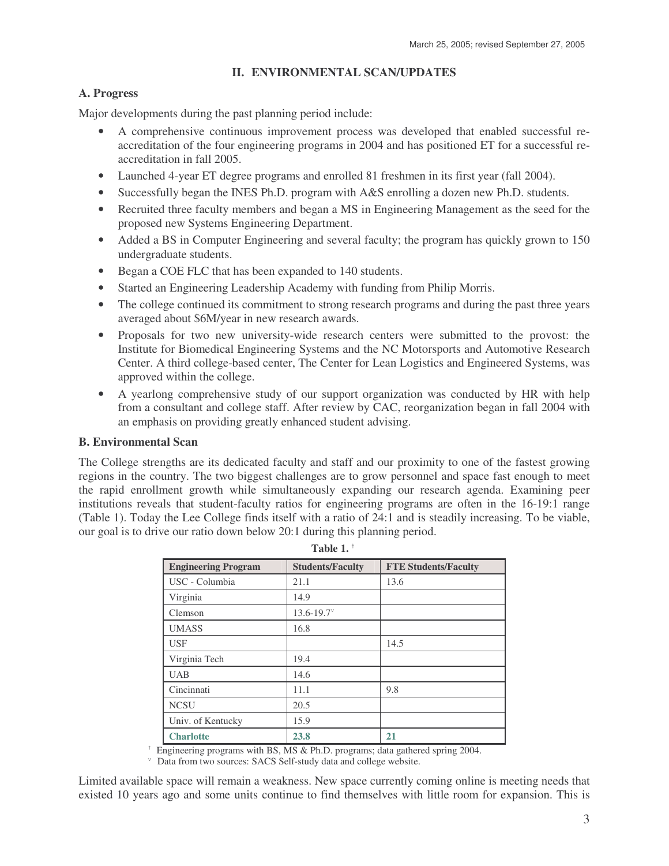### **II. ENVIRONMENTAL SCAN/UPDATES**

#### **A. Progress**

Major developments during the past planning period include:

- A comprehensive continuous improvement process was developed that enabled successful reaccreditation of the four engineering programs in 2004 and has positioned ET for a successful reaccreditation in fall 2005.
- Launched 4-year ET degree programs and enrolled 81 freshmen in its first year (fall 2004).
- Successfully began the INES Ph.D. program with A&S enrolling a dozen new Ph.D. students.
- Recruited three faculty members and began a MS in Engineering Management as the seed for the proposed new Systems Engineering Department.
- Added a BS in Computer Engineering and several faculty; the program has quickly grown to 150 undergraduate students.
- Began a COE FLC that has been expanded to 140 students.
- Started an Engineering Leadership Academy with funding from Philip Morris.
- The college continued its commitment to strong research programs and during the past three years averaged about \$6M/year in new research awards.
- Proposals for two new university-wide research centers were submitted to the provost: the Institute for Biomedical Engineering Systems and the NC Motorsports and Automotive Research Center. A third college-based center, The Center for Lean Logistics and Engineered Systems, was approved within the college.
- A yearlong comprehensive study of our support organization was conducted by HR with help from a consultant and college staff. After review by CAC, reorganization began in fall 2004 with an emphasis on providing greatly enhanced student advising.

#### **B. Environmental Scan**

The College strengths are its dedicated faculty and staff and our proximity to one of the fastest growing regions in the country. The two biggest challenges are to grow personnel and space fast enough to meet the rapid enrollment growth while simultaneously expanding our research agenda. Examining peer institutions reveals that student-faculty ratios for engineering programs are often in the 16-19:1 range (Table 1). Today the Lee College finds itself with a ratio of 24:1 and is steadily increasing. To be viable, our goal is to drive our ratio down below 20:1 during this planning period.

| 1 avit 1.                  |                         |                             |  |  |  |
|----------------------------|-------------------------|-----------------------------|--|--|--|
| <b>Engineering Program</b> | <b>Students/Faculty</b> | <b>FTE Students/Faculty</b> |  |  |  |
| USC - Columbia             | 21.1                    | 13.6                        |  |  |  |
| Virginia                   | 14.9                    |                             |  |  |  |
| Clemson                    | $13.6 - 19.7$           |                             |  |  |  |
| <b>UMASS</b>               | 16.8                    |                             |  |  |  |
| <b>USF</b>                 |                         | 14.5                        |  |  |  |
| Virginia Tech              | 19.4                    |                             |  |  |  |
| <b>UAB</b>                 | 14.6                    |                             |  |  |  |
| Cincinnati                 | 11.1                    | 9.8                         |  |  |  |
| <b>NCSU</b>                | 20.5                    |                             |  |  |  |
| Univ. of Kentucky          | 15.9                    |                             |  |  |  |
| <b>Charlotte</b>           | 23.8                    | 21                          |  |  |  |

| ш |  |
|---|--|
|---|--|

†

† Engineering programs with BS, MS & Ph.D. programs; data gathered spring 2004.

<sup>v</sup> Data from two sources: SACS Self-study data and college website.

Limited available space will remain a weakness. New space currently coming online is meeting needs that existed 10 years ago and some units continue to find themselves with little room for expansion. This is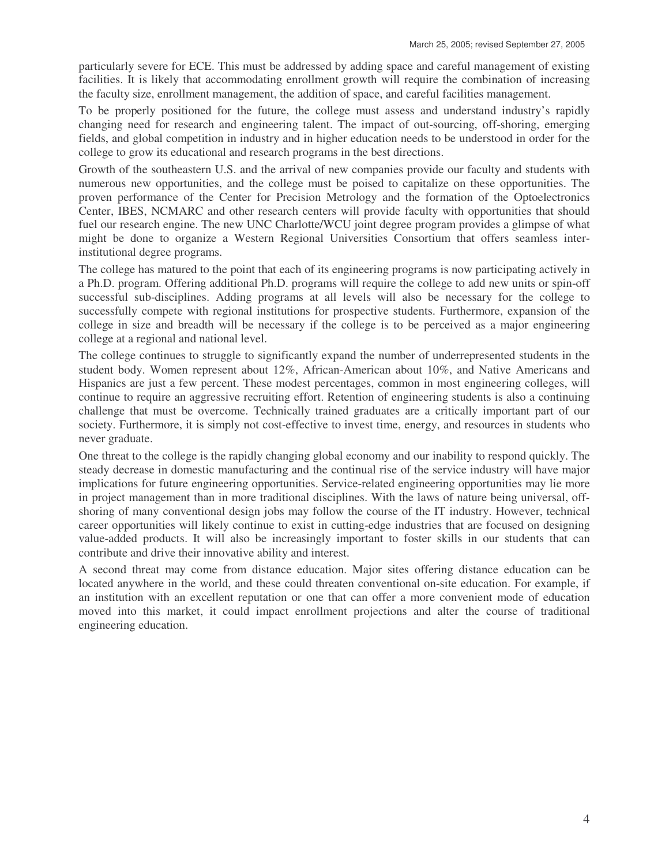particularly severe for ECE. This must be addressed by adding space and careful management of existing facilities. It is likely that accommodating enrollment growth will require the combination of increasing the faculty size, enrollment management, the addition of space, and careful facilities management.

To be properly positioned for the future, the college must assess and understand industry's rapidly changing need for research and engineering talent. The impact of out-sourcing, off-shoring, emerging fields, and global competition in industry and in higher education needs to be understood in order for the college to grow its educational and research programs in the best directions.

Growth of the southeastern U.S. and the arrival of new companies provide our faculty and students with numerous new opportunities, and the college must be poised to capitalize on these opportunities. The proven performance of the Center for Precision Metrology and the formation of the Optoelectronics Center, IBES, NCMARC and other research centers will provide faculty with opportunities that should fuel our research engine. The new UNC Charlotte/WCU joint degree program provides a glimpse of what might be done to organize a Western Regional Universities Consortium that offers seamless interinstitutional degree programs.

The college has matured to the point that each of its engineering programs is now participating actively in a Ph.D. program. Offering additional Ph.D. programs will require the college to add new units or spin-off successful sub-disciplines. Adding programs at all levels will also be necessary for the college to successfully compete with regional institutions for prospective students. Furthermore, expansion of the college in size and breadth will be necessary if the college is to be perceived as a major engineering college at a regional and national level.

The college continues to struggle to significantly expand the number of underrepresented students in the student body. Women represent about 12%, African-American about 10%, and Native Americans and Hispanics are just a few percent. These modest percentages, common in most engineering colleges, will continue to require an aggressive recruiting effort. Retention of engineering students is also a continuing challenge that must be overcome. Technically trained graduates are a critically important part of our society. Furthermore, it is simply not cost-effective to invest time, energy, and resources in students who never graduate.

One threat to the college is the rapidly changing global economy and our inability to respond quickly. The steady decrease in domestic manufacturing and the continual rise of the service industry will have major implications for future engineering opportunities. Service-related engineering opportunities may lie more in project management than in more traditional disciplines. With the laws of nature being universal, offshoring of many conventional design jobs may follow the course of the IT industry. However, technical career opportunities will likely continue to exist in cutting-edge industries that are focused on designing value-added products. It will also be increasingly important to foster skills in our students that can contribute and drive their innovative ability and interest.

A second threat may come from distance education. Major sites offering distance education can be located anywhere in the world, and these could threaten conventional on-site education. For example, if an institution with an excellent reputation or one that can offer a more convenient mode of education moved into this market, it could impact enrollment projections and alter the course of traditional engineering education.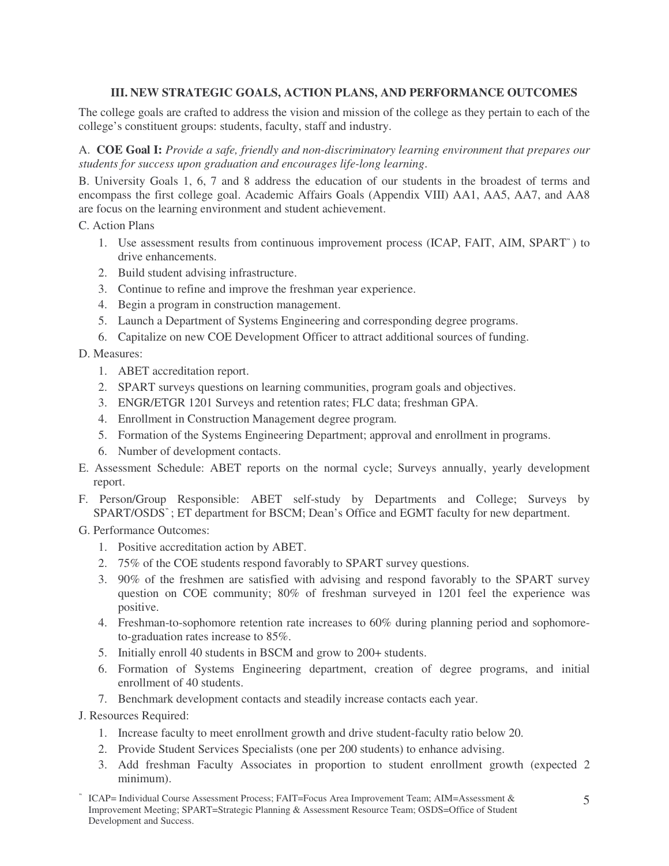## **III. NEW STRATEGIC GOALS, ACTION PLANS, AND PERFORMANCE OUTCOMES**

The college goals are crafted to address the vision and mission of the college as they pertain to each of the college's constituent groups: students, faculty, staff and industry.

A. **COE Goal I:** *Provide a safe, friendly and non-discriminatory learning environment that prepares our students for success upon graduation and encourages life-long learning*.

B. University Goals 1, 6, 7 and 8 address the education of our students in the broadest of terms and encompass the first college goal. Academic Affairs Goals (Appendix VIII) AA1, AA5, AA7, and AA8 are focus on the learning environment and student achievement.

C. Action Plans

- 1. Use assessment results from continuous improvement process (ICAP, FAIT, AIM, SPART " ) to drive enhancements.
- 2. Build student advising infrastructure.
- 3. Continue to refine and improve the freshman year experience.
- 4. Begin a program in construction management.
- 5. Launch a Department of Systems Engineering and corresponding degree programs.
- 6. Capitalize on new COE Development Officer to attract additional sources of funding.

D. Measures:

- 1. ABET accreditation report.
- 2. SPART surveys questions on learning communities, program goals and objectives.
- 3. ENGR/ETGR 1201 Surveys and retention rates; FLC data; freshman GPA.
- 4. Enrollment in Construction Management degree program.
- 5. Formation of the Systems Engineering Department; approval and enrollment in programs.
- 6. Number of development contacts.
- E. Assessment Schedule: ABET reports on the normal cycle; Surveys annually, yearly development report.
- F. Person/Group Responsible: ABET self-study by Departments and College; Surveys by SPART/OSDS " ; ET department for BSCM; Dean's Office and EGMT faculty for new department.
- G. Performance Outcomes:
	- 1. Positive accreditation action by ABET.
	- 2. 75% of the COE students respond favorably to SPART survey questions.
	- 3. 90% of the freshmen are satisfied with advising and respond favorably to the SPART survey question on COE community; 80% of freshman surveyed in 1201 feel the experience was positive.
	- 4. Freshman-to-sophomore retention rate increases to 60% during planning period and sophomoreto-graduation rates increase to 85%.
	- 5. Initially enroll 40 students in BSCM and grow to 200+ students.
	- 6. Formation of Systems Engineering department, creation of degree programs, and initial enrollment of 40 students.
	- 7. Benchmark development contacts and steadily increase contacts each year.

J. Resources Required:

- 1. Increase faculty to meet enrollment growth and drive student-faculty ratio below 20.
- 2. Provide Student Services Specialists (one per 200 students) to enhance advising.
- 3. Add freshman Faculty Associates in proportion to student enrollment growth (expected 2 minimum).
- " ICAP= Individual Course Assessment Process; FAIT=Focus Area Improvement Team; AIM=Assessment & Improvement Meeting; SPART=Strategic Planning & Assessment Resource Team; OSDS=Office of Student Development and Success.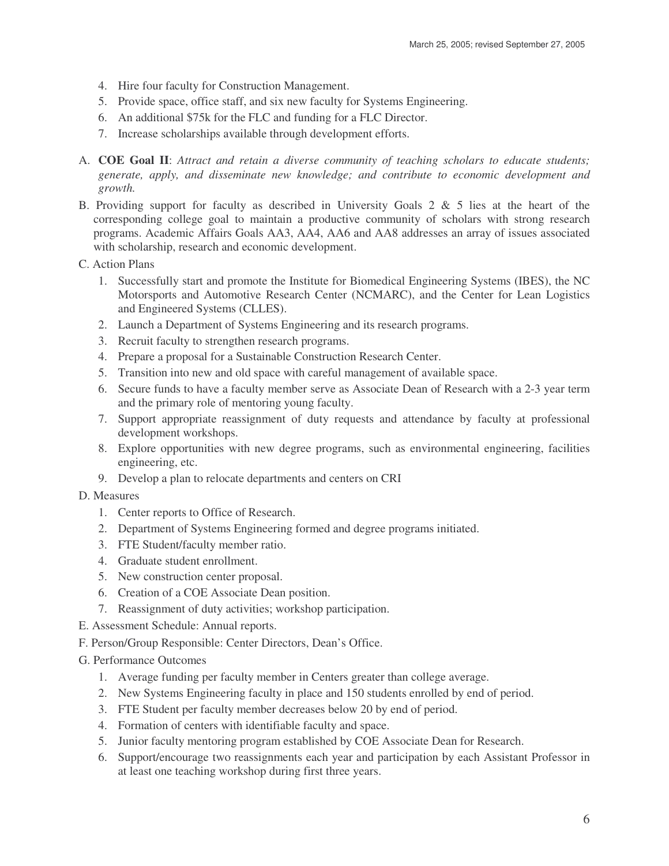- 4. Hire four faculty for Construction Management.
- 5. Provide space, office staff, and six new faculty for Systems Engineering.
- 6. An additional \$75k for the FLC and funding for a FLC Director.
- 7. Increase scholarships available through development efforts.
- A. **COE Goal II**: *Attract and retain a diverse community of teaching scholars to educate students; generate, apply, and disseminate new knowledge; and contribute to economic development and growth.*
- B. Providing support for faculty as described in University Goals 2  $\&$  5 lies at the heart of the corresponding college goal to maintain a productive community of scholars with strong research programs. Academic Affairs Goals AA3, AA4, AA6 and AA8 addresses an array of issues associated with scholarship, research and economic development.
- C. Action Plans
	- 1. Successfully start and promote the Institute for Biomedical Engineering Systems (IBES), the NC Motorsports and Automotive Research Center (NCMARC), and the Center for Lean Logistics and Engineered Systems (CLLES).
	- 2. Launch a Department of Systems Engineering and its research programs.
	- 3. Recruit faculty to strengthen research programs.
	- 4. Prepare a proposal for a Sustainable Construction Research Center.
	- 5. Transition into new and old space with careful management of available space.
	- 6. Secure funds to have a faculty member serve as Associate Dean of Research with a 2-3 year term and the primary role of mentoring young faculty.
	- 7. Support appropriate reassignment of duty requests and attendance by faculty at professional development workshops.
	- 8. Explore opportunities with new degree programs, such as environmental engineering, facilities engineering, etc.
	- 9. Develop a plan to relocate departments and centers on CRI

#### D. Measures

- 1. Center reports to Office of Research.
- 2. Department of Systems Engineering formed and degree programs initiated.
- 3. FTE Student/faculty member ratio.
- 4. Graduate student enrollment.
- 5. New construction center proposal.
- 6. Creation of a COE Associate Dean position.
- 7. Reassignment of duty activities; workshop participation.
- E. Assessment Schedule: Annual reports.
- F. Person/Group Responsible: Center Directors, Dean's Office.
- G. Performance Outcomes
	- 1. Average funding per faculty member in Centers greater than college average.
	- 2. New Systems Engineering faculty in place and 150 students enrolled by end of period.
	- 3. FTE Student per faculty member decreases below 20 by end of period.
	- 4. Formation of centers with identifiable faculty and space.
	- 5. Junior faculty mentoring program established by COE Associate Dean for Research.
	- 6. Support/encourage two reassignments each year and participation by each Assistant Professor in at least one teaching workshop during first three years.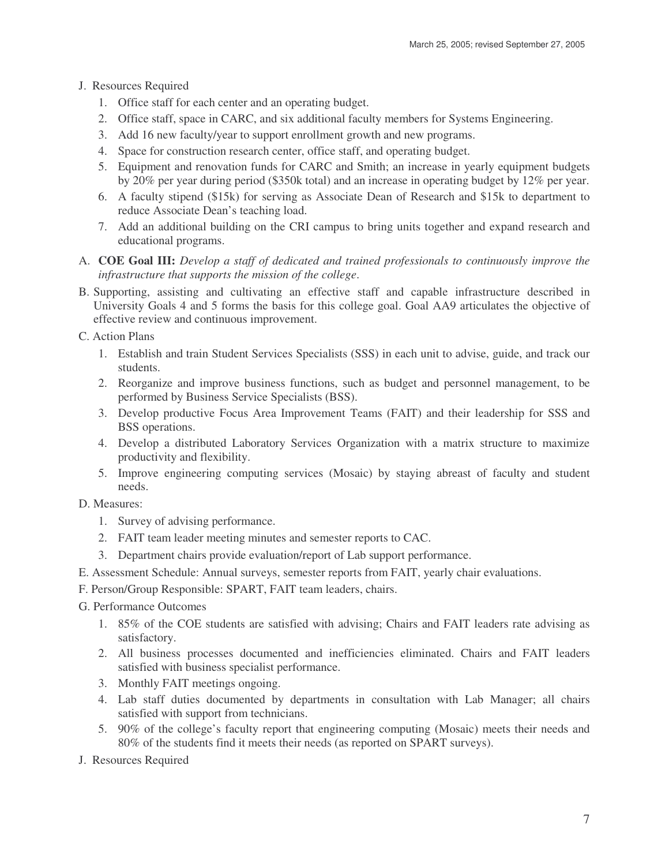- J. Resources Required
	- 1. Office staff for each center and an operating budget.
	- 2. Office staff, space in CARC, and six additional faculty members for Systems Engineering.
	- 3. Add 16 new faculty/year to support enrollment growth and new programs.
	- 4. Space for construction research center, office staff, and operating budget.
	- 5. Equipment and renovation funds for CARC and Smith; an increase in yearly equipment budgets by 20% per year during period (\$350k total) and an increase in operating budget by 12% per year.
	- 6. A faculty stipend (\$15k) for serving as Associate Dean of Research and \$15k to department to reduce Associate Dean's teaching load.
	- 7. Add an additional building on the CRI campus to bring units together and expand research and educational programs.
- A. **COE Goal III:** *Develop a staff of dedicated and trained professionals to continuously improve the infrastructure that supports the mission of the college*.
- B. Supporting, assisting and cultivating an effective staff and capable infrastructure described in University Goals 4 and 5 forms the basis for this college goal. Goal AA9 articulates the objective of effective review and continuous improvement.

C. Action Plans

- 1. Establish and train Student Services Specialists (SSS) in each unit to advise, guide, and track our students.
- 2. Reorganize and improve business functions, such as budget and personnel management, to be performed by Business Service Specialists (BSS).
- 3. Develop productive Focus Area Improvement Teams (FAIT) and their leadership for SSS and BSS operations.
- 4. Develop a distributed Laboratory Services Organization with a matrix structure to maximize productivity and flexibility.
- 5. Improve engineering computing services (Mosaic) by staying abreast of faculty and student needs.

## D. Measures:

- 1. Survey of advising performance.
- 2. FAIT team leader meeting minutes and semester reports to CAC.
- 3. Department chairs provide evaluation/report of Lab support performance.
- E. Assessment Schedule: Annual surveys, semester reports from FAIT, yearly chair evaluations.
- F. Person/Group Responsible: SPART, FAIT team leaders, chairs.
- G. Performance Outcomes
	- 1. 85% of the COE students are satisfied with advising; Chairs and FAIT leaders rate advising as satisfactory.
	- 2. All business processes documented and inefficiencies eliminated. Chairs and FAIT leaders satisfied with business specialist performance.
	- 3. Monthly FAIT meetings ongoing.
	- 4. Lab staff duties documented by departments in consultation with Lab Manager; all chairs satisfied with support from technicians.
	- 5. 90% of the college's faculty report that engineering computing (Mosaic) meets their needs and 80% of the students find it meets their needs (as reported on SPART surveys).
- J. Resources Required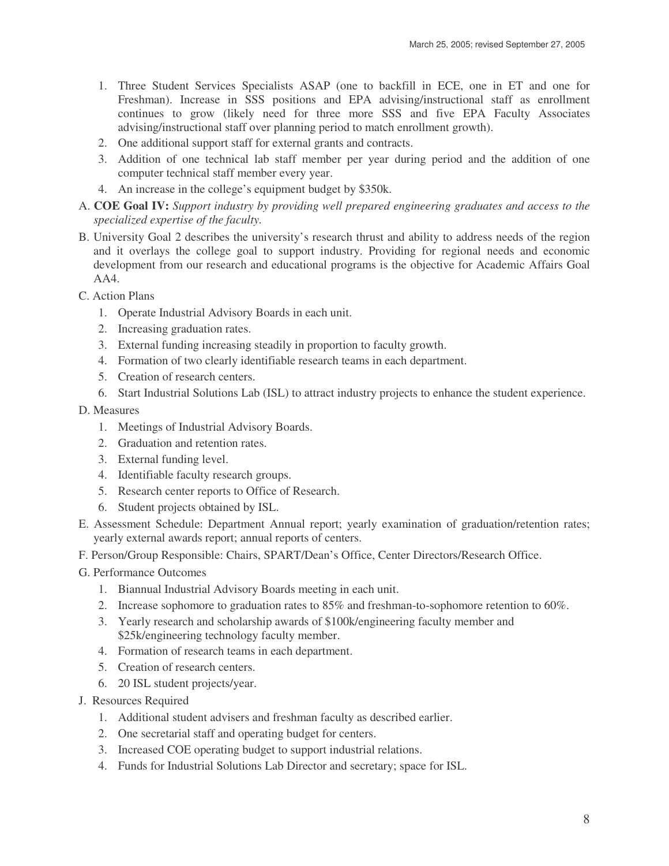- 1. Three Student Services Specialists ASAP (one to backfill in ECE, one in ET and one for Freshman). Increase in SSS positions and EPA advising/instructional staff as enrollment continues to grow (likely need for three more SSS and five EPA Faculty Associates advising/instructional staff over planning period to match enrollment growth).
- 2. One additional support staff for external grants and contracts.
- 3. Addition of one technical lab staff member per year during period and the addition of one computer technical staff member every year.
- 4. An increase in the college's equipment budget by \$350k.
- A. **COE Goal IV:** *Support industry by providing well prepared engineering graduates and access to the specialized expertise of the faculty.*
- B. University Goal 2 describes the university's research thrust and ability to address needs of the region and it overlays the college goal to support industry. Providing for regional needs and economic development from our research and educational programs is the objective for Academic Affairs Goal AA4.
- C. Action Plans
	- 1. Operate Industrial Advisory Boards in each unit.
	- 2. Increasing graduation rates.
	- 3. External funding increasing steadily in proportion to faculty growth.
	- 4. Formation of two clearly identifiable research teams in each department.
	- 5. Creation of research centers.
	- 6. Start Industrial Solutions Lab (ISL) to attract industry projects to enhance the student experience.

## D. Measures

- 1. Meetings of Industrial Advisory Boards.
- 2. Graduation and retention rates.
- 3. External funding level.
- 4. Identifiable faculty research groups.
- 5. Research center reports to Office of Research.
- 6. Student projects obtained by ISL.
- E. Assessment Schedule: Department Annual report; yearly examination of graduation/retention rates; yearly external awards report; annual reports of centers.
- F. Person/Group Responsible: Chairs, SPART/Dean's Office, Center Directors/Research Office.
- G. Performance Outcomes
	- 1. Biannual Industrial Advisory Boards meeting in each unit.
	- 2. Increase sophomore to graduation rates to 85% and freshman-to-sophomore retention to 60%.
	- 3. Yearly research and scholarship awards of \$100k/engineering faculty member and \$25k/engineering technology faculty member.
	- 4. Formation of research teams in each department.
	- 5. Creation of research centers.
	- 6. 20 ISL student projects/year.
- J. Resources Required
	- 1. Additional student advisers and freshman faculty as described earlier.
	- 2. One secretarial staff and operating budget for centers.
	- 3. Increased COE operating budget to support industrial relations.
	- 4. Funds for Industrial Solutions Lab Director and secretary; space for ISL.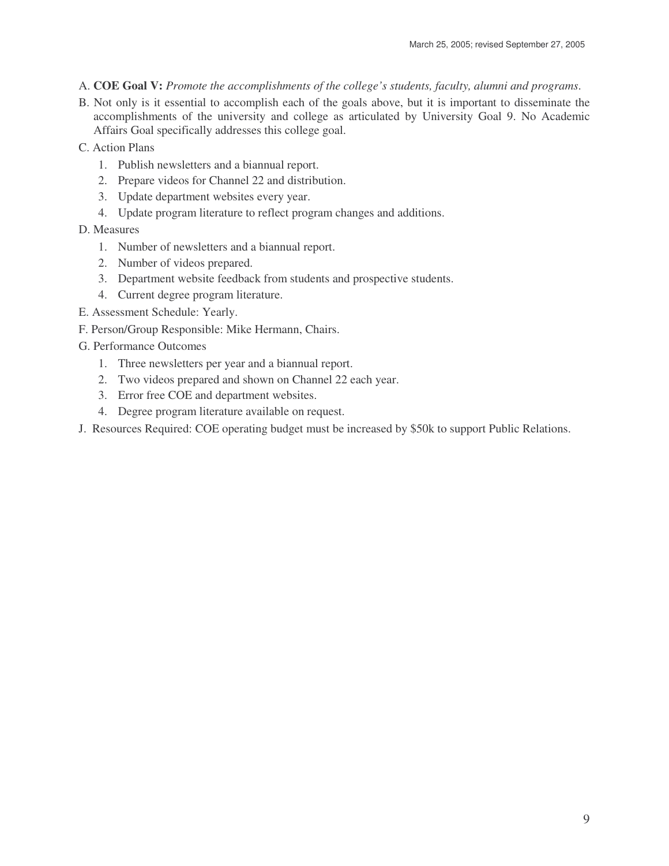- A. **COE Goal V:** *Promote the accomplishments of the college's students, faculty, alumni and programs*.
- B. Not only is it essential to accomplish each of the goals above, but it is important to disseminate the accomplishments of the university and college as articulated by University Goal 9. No Academic Affairs Goal specifically addresses this college goal.
- C. Action Plans
	- 1. Publish newsletters and a biannual report.
	- 2. Prepare videos for Channel 22 and distribution.
	- 3. Update department websites every year.
	- 4. Update program literature to reflect program changes and additions.
- D. Measures
	- 1. Number of newsletters and a biannual report.
	- 2. Number of videos prepared.
	- 3. Department website feedback from students and prospective students.
	- 4. Current degree program literature.
- E. Assessment Schedule: Yearly.
- F. Person/Group Responsible: Mike Hermann, Chairs.
- G. Performance Outcomes
	- 1. Three newsletters per year and a biannual report.
	- 2. Two videos prepared and shown on Channel 22 each year.
	- 3. Error free COE and department websites.
	- 4. Degree program literature available on request.
- J. Resources Required: COE operating budget must be increased by \$50k to support Public Relations.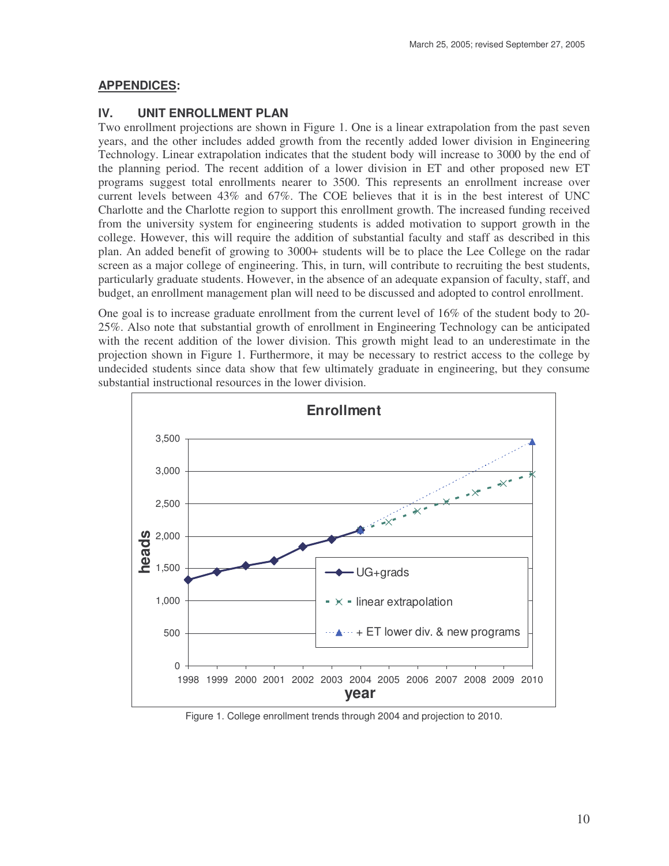## **APPENDICES:**

## **IV. UNIT ENROLLMENT PLAN**

Two enrollment projections are shown in Figure 1. One is a linear extrapolation from the past seven years, and the other includes added growth from the recently added lower division in Engineering Technology. Linear extrapolation indicates that the student body will increase to 3000 by the end of the planning period. The recent addition of a lower division in ET and other proposed new ET programs suggest total enrollments nearer to 3500. This represents an enrollment increase over current levels between 43% and 67%. The COE believes that it is in the best interest of UNC Charlotte and the Charlotte region to support this enrollment growth. The increased funding received from the university system for engineering students is added motivation to support growth in the college. However, this will require the addition of substantial faculty and staff as described in this plan. An added benefit of growing to 3000+ students will be to place the Lee College on the radar screen as a major college of engineering. This, in turn, will contribute to recruiting the best students, particularly graduate students. However, in the absence of an adequate expansion of faculty, staff, and budget, an enrollment management plan will need to be discussed and adopted to control enrollment.

One goal is to increase graduate enrollment from the current level of 16% of the student body to 20- 25%. Also note that substantial growth of enrollment in Engineering Technology can be anticipated with the recent addition of the lower division. This growth might lead to an underestimate in the projection shown in Figure 1. Furthermore, it may be necessary to restrict access to the college by undecided students since data show that few ultimately graduate in engineering, but they consume substantial instructional resources in the lower division.



Figure 1. College enrollment trends through 2004 and projection to 2010.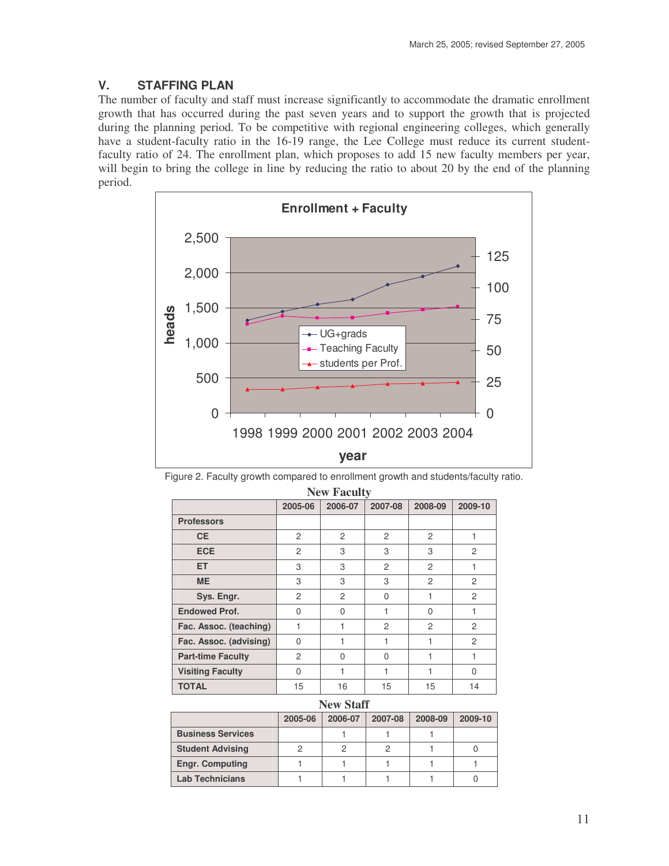# **V. STAFFING PLAN**

The number of faculty and staff must increase significantly to accommodate the dramatic enrollment growth that has occurred during the past seven years and to support the growth that is projected during the planning period. To be competitive with regional engineering colleges, which generally have a student-faculty ratio in the 16-19 range, the Lee College must reduce its current studentfaculty ratio of 24. The enrollment plan, which proposes to add 15 new faculty members per year, will begin to bring the college in line by reducing the ratio to about 20 by the end of the planning period.



Figure 2. Faculty growth compared to enrollment growth and students/faculty ratio.

| <b>New Faculty</b>       |                |                |                |                |                |  |
|--------------------------|----------------|----------------|----------------|----------------|----------------|--|
|                          | 2005-06        | 2006-07        | 2007-08        | 2008-09        | 2009-10        |  |
| <b>Professors</b>        |                |                |                |                |                |  |
| <b>CE</b>                | $\overline{c}$ | $\mathcal{P}$  | $\mathcal{P}$  | $\mathcal{P}$  | $\mathbf{1}$   |  |
| <b>ECE</b>               | $\overline{2}$ | 3              | 3              | 3              | 2              |  |
| <b>ET</b>                | 3              | 3              | $\overline{c}$ | 2              | 1              |  |
| <b>ME</b>                | 3              | 3              | 3              | $\overline{c}$ | 2              |  |
| Sys. Engr.               | $\overline{2}$ | $\overline{c}$ | $\Omega$       | 1              | $\overline{c}$ |  |
| <b>Endowed Prof.</b>     | $\Omega$       | $\Omega$       | 1              | $\Omega$       | 1              |  |
| Fac. Assoc. (teaching)   | $\mathbf{1}$   | 1              | $\overline{c}$ | 2              | 2              |  |
| Fac. Assoc. (advising)   | $\Omega$       | 1              | 1              | 1              | 2              |  |
| <b>Part-time Faculty</b> | $\overline{c}$ | $\Omega$       | $\Omega$       | 1              | 1              |  |
| <b>Visiting Faculty</b>  | $\Omega$       | 1              | 1              | 1              | 0              |  |
| <b>TOTAL</b>             | 15             | 16             | 15             | 15             | 14             |  |
| <b>New Staff</b>         |                |                |                |                |                |  |
|                          | 2005-06        | 2006-07        | 2007-08        | 2008-09        | 2009-10        |  |
| <b>Business Services</b> |                | 1              | 1              | 1              |                |  |
| <b>Student Advising</b>  | 2              | $\overline{2}$ | $\overline{c}$ | 1              | 0              |  |
| <b>Engr. Computing</b>   | 1              | 1              | 1              | 1              | 1              |  |
| <b>Lab Technicians</b>   | 1              | 1              | 1              | 1              | 0              |  |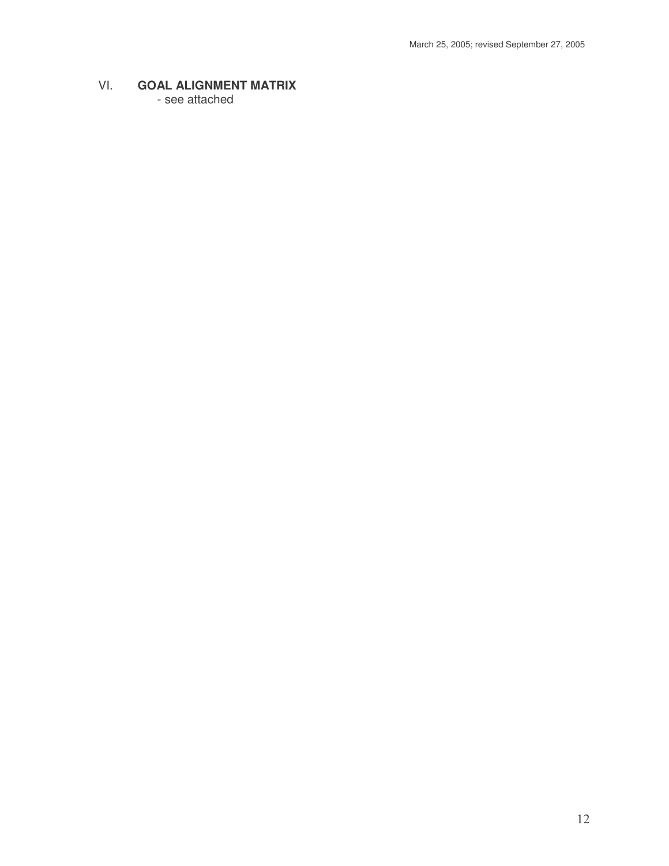# VI. **GOAL ALIGNMENT MATRIX**

- see attached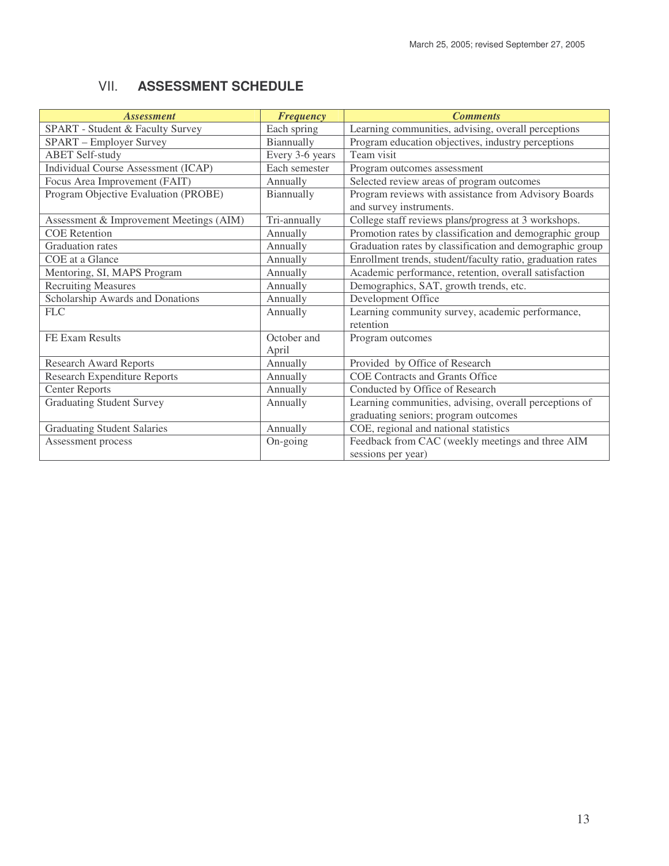# VII. **ASSESSMENT SCHEDULE**

| <b>Assessment</b>                       | <b>Frequency</b>     | <b>Comments</b>                                                                                |
|-----------------------------------------|----------------------|------------------------------------------------------------------------------------------------|
| SPART - Student & Faculty Survey        | Each spring          | Learning communities, advising, overall perceptions                                            |
| SPART - Employer Survey                 | Biannually           | Program education objectives, industry perceptions                                             |
| <b>ABET Self-study</b>                  | Every 3-6 years      | Team visit                                                                                     |
| Individual Course Assessment (ICAP)     | Each semester        | Program outcomes assessment                                                                    |
| Focus Area Improvement (FAIT)           | Annually             | Selected review areas of program outcomes                                                      |
| Program Objective Evaluation (PROBE)    | Biannually           | Program reviews with assistance from Advisory Boards<br>and survey instruments.                |
| Assessment & Improvement Meetings (AIM) | Tri-annually         | College staff reviews plans/progress at 3 workshops.                                           |
| <b>COE</b> Retention                    | Annually             | Promotion rates by classification and demographic group                                        |
| Graduation rates                        | Annually             | Graduation rates by classification and demographic group                                       |
| COE at a Glance                         | Annually             | Enrollment trends, student/faculty ratio, graduation rates                                     |
| Mentoring, SI, MAPS Program             | Annually             | Academic performance, retention, overall satisfaction                                          |
| <b>Recruiting Measures</b>              | Annually             | Demographics, SAT, growth trends, etc.                                                         |
| Scholarship Awards and Donations        | Annually             | Development Office                                                                             |
| FLC                                     | Annually             | Learning community survey, academic performance,<br>retention                                  |
| FE Exam Results                         | October and<br>April | Program outcomes                                                                               |
| <b>Research Award Reports</b>           | Annually             | Provided by Office of Research                                                                 |
| <b>Research Expenditure Reports</b>     | Annually             | <b>COE Contracts and Grants Office</b>                                                         |
| <b>Center Reports</b>                   | Annually             | Conducted by Office of Research                                                                |
| <b>Graduating Student Survey</b>        | Annually             | Learning communities, advising, overall perceptions of<br>graduating seniors; program outcomes |
| <b>Graduating Student Salaries</b>      | Annually             | COE, regional and national statistics                                                          |
| Assessment process                      | On-going             | Feedback from CAC (weekly meetings and three AIM<br>sessions per year)                         |